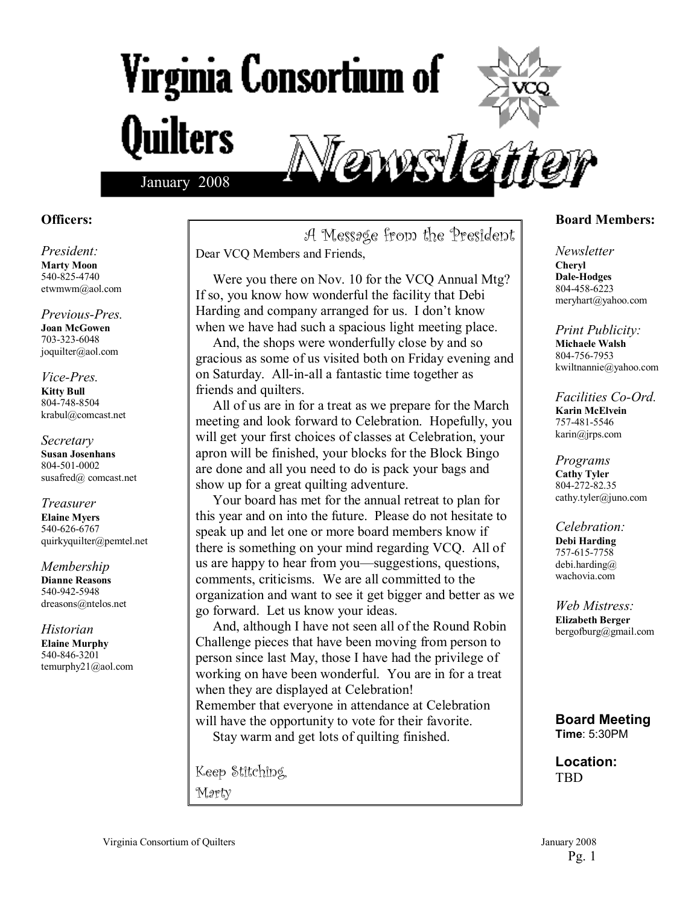# Virginia Consortium of **Quilters** enns le



#### **Officers:**

*President:*  **Marty Moon**  540-825-4740 etwmwm@aol.com

*Previous-Pres.*  **Joan McGowen**  703-323-6048 joquilter@aol.com

#### *Vice-Pres.*  **Kitty Bull**  804-748-8504 krabul@comcast.net

*Secretary*  **Susan Josenhans**  804-501-0002 susafred@ comcast.net

*Treasurer*  **Elaine Myers**  540-626-6767 quirkyquilter@pemtel.net

*Membership*  **Dianne Reasons**  540-942-5948 dreasons@ntelos.net

*Historian*  **Elaine Murphy**  540-846-3201 temurphy21@aol.com

A Message from the President Dear VCQ Members and Friends,

 Were you there on Nov. 10 for the VCQ Annual Mtg? If so, you know how wonderful the facility that Debi Harding and company arranged for us. I don't know when we have had such a spacious light meeting place.

 And, the shops were wonderfully close by and so gracious as some of us visited both on Friday evening and on Saturday. All-in-all a fantastic time together as friends and quilters.

 All of us are in for a treat as we prepare for the March meeting and look forward to Celebration. Hopefully, you will get your first choices of classes at Celebration, your apron will be finished, your blocks for the Block Bingo are done and all you need to do is pack your bags and show up for a great quilting adventure.

 Your board has met for the annual retreat to plan for this year and on into the future. Please do not hesitate to speak up and let one or more board members know if there is something on your mind regarding VCQ. All of us are happy to hear from you—suggestions, questions, comments, criticisms. We are all committed to the organization and want to see it get bigger and better as we go forward. Let us know your ideas.

 And, although I have not seen all of the Round Robin Challenge pieces that have been moving from person to person since last May, those I have had the privilege of working on have been wonderful. You are in for a treat when they are displayed at Celebration! Remember that everyone in attendance at Celebration will have the opportunity to vote for their favorite. Stay warm and get lots of quilting finished.

Keep Stitching, Marty

#### **Board Members:**

*Newsletter*  **Cheryl Dale-Hodges** 804-458-6223 meryhart@yahoo.com

*Print Publicity:*  **Michaele Walsh**  804-756-7953 kwiltnannie@yahoo.com

*Facilities Co-Ord.*  **Karin McElvein**  757-481-5546 karin@jrps.com

*Programs*  **Cathy Tyler**  804-272-82.35 cathy.tyler@juno.com

*Celebration:*  **Debi Harding**  757-615-7758 debi.harding@ wachovia.com

*Web Mistress:*  **Elizabeth Berger**  bergofburg@gmail.com

**Board Meeting Time**: 5:30PM

**Location:**  TBD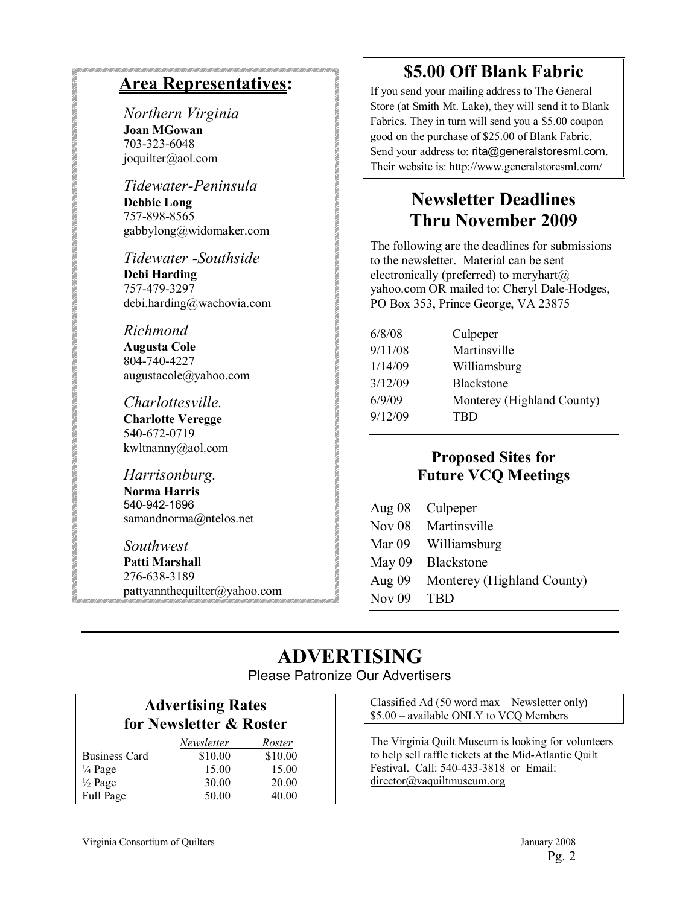#### **Area Representatives:**

*Northern Virginia*  **Joan MGowan**  703-323-6048 joquilter@aol.com

*Tidewater-Peninsula*  **Debbie Long**  757-898-8565 gabbylong@widomaker.com

*Tidewater -Southside*  **Debi Harding**  757-479-3297 debi.harding@wachovia.com

*Richmond* 

**Augusta Cole**  804-740-4227 augustacole@yahoo.com

*Charlottesville.*  **Charlotte Veregge**  540-672-0719 kwltnanny@aol.com

*Harrisonburg.*  **Norma Harris**  540-942-1696 samandnorma@ntelos.net

*Southwest*  **Patti Marshal**l 276-638-3189 pattyannthequilter@yahoo.com

#### **\$5.00 Off Blank Fabric**

If you send your mailing address to The General Store (at Smith Mt. Lake), they will send it to Blank Fabrics. They in turn will send you a \$5.00 coupon good on the purchase of \$25.00 of Blank Fabric. Send your address to: rita@generalstoresml.com. Their website is: http://www.generalstoresml.com/

#### **Newsletter Deadlines Thru November 2009**

The following are the deadlines for submissions to the newsletter. Material can be sent electronically (preferred) to meryhart $(a)$ yahoo.com OR mailed to: Cheryl Dale-Hodges, PO Box 353, Prince George, VA 23875

| 6/8/08  | Culpeper                   |
|---------|----------------------------|
| 9/11/08 | Martinsville               |
| 1/14/09 | Williamsburg               |
| 3/12/09 | Blackstone                 |
| 6/9/09  | Monterey (Highland County) |
| 9/12/09 | TBD                        |

#### **Proposed Sites for Future VCQ Meetings**

| Aug $08$ | Culpeper                   |
|----------|----------------------------|
| Nov $08$ | Martinsville               |
| Mar 09   | Williamsburg               |
| May $09$ | <b>Blackstone</b>          |
| Aug $09$ | Monterey (Highland County) |
| Nov $09$ | <b>TRD</b>                 |

# **ADVERTISING**

Please Patronize Our Advertisers

#### **Advertising Rates for Newsletter & Roster**

|                    | Newsletter | Roster  |
|--------------------|------------|---------|
| Business Card      | \$10.00    | \$10.00 |
| $\frac{1}{4}$ Page | 15.00      | 15.00   |
| $\frac{1}{2}$ Page | 30.00      | 20.00   |
| Full Page          | 50.00      | 40.00   |

Classified Ad  $(50 \text{ word } max -$ Newsletter only) \$5.00 – available ONLY to VCQ Members

The Virginia Quilt Museum is looking for volunteers to help sell raffle tickets at the Mid-Atlantic Quilt Festival. Call: 540-433-3818 or Email: director@vaquiltmuseum.org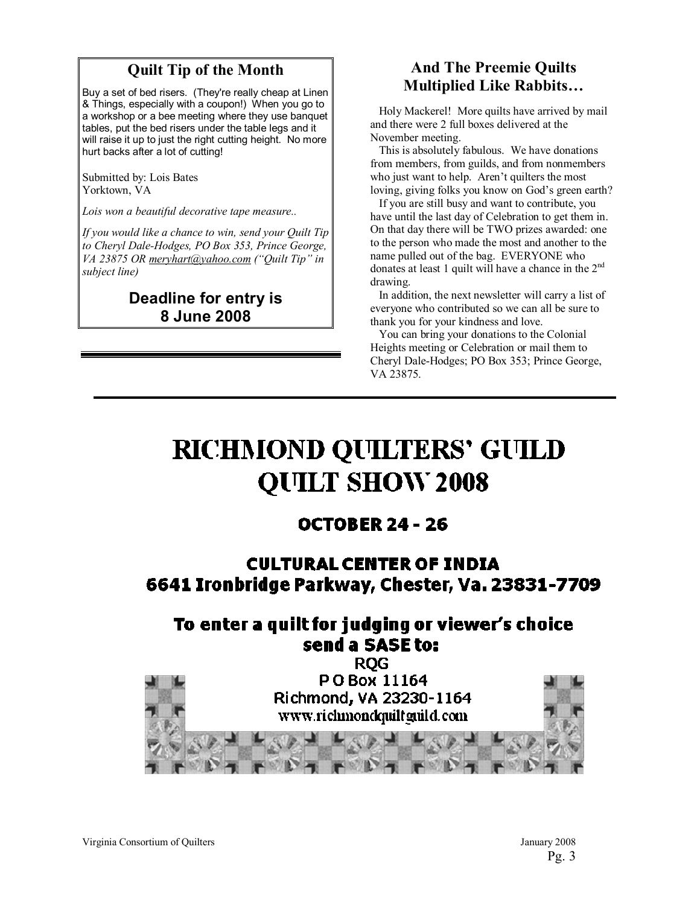#### **Quilt Tip of the Month**

Buy a set of bed risers. (They're really cheap at Linen & Things, especially with a coupon!) When you go to a workshop or a bee meeting where they use banquet tables, put the bed risers under the table legs and it will raise it up to just the right cutting height. No more hurt backs after a lot of cutting!

Submitted by: Lois Bates Yorktown, VA

*Lois won a beautiful decorative tape measure..* 

*If you would like a chance to win, send your Quilt Tip to Cheryl Dale-Hodges, PO Box 353, Prince George, VA 23875 OR meryhart@yahoo.com ("Quilt Tip" in subject line)* 

#### **Deadline for entry is 8 June 2008**

#### **And The Preemie Quilts Multiplied Like Rabbits...**

 Holy Mackerel! More quilts have arrived by mail and there were 2 full boxes delivered at the November meeting.

 This is absolutely fabulous. We have donations from members, from guilds, and from nonmembers who just want to help. Aren't quilters the most loving, giving folks you know on God's green earth?

 If you are still busy and want to contribute, you have until the last day of Celebration to get them in. On that day there will be TWO prizes awarded: one to the person who made the most and another to the name pulled out of the bag. EVERYONE who donates at least 1 quilt will have a chance in the  $2<sup>nd</sup>$ drawing.

 In addition, the next newsletter will carry a list of everyone who contributed so we can all be sure to thank you for your kindness and love.

 You can bring your donations to the Colonial Heights meeting or Celebration or mail them to Cheryl Dale-Hodges; PO Box 353; Prince George, VA 23875.

# **RICHMOND QUILTERS' GUILD QUILT SHOW 2008**

#### **OCTOBER 24 - 26**

#### **CULTURAL CENTER OF INDIA** 6641 Ironbridge Parkway, Chester, Va. 23831-7709

## To enter a quilt for judging or viewer's choice send a SASE to:

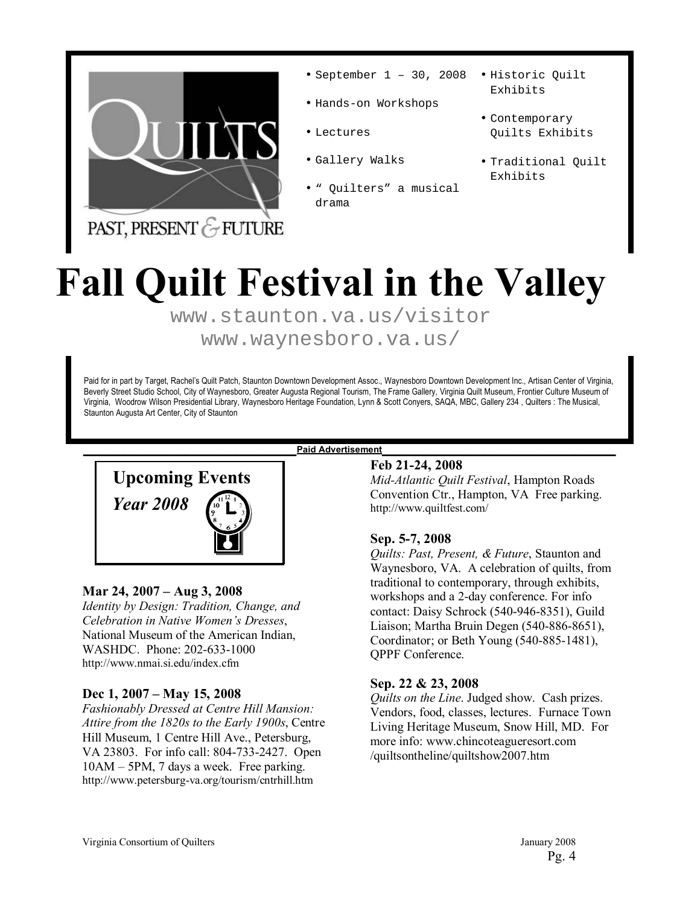

- September 1 30, 2008
- Hands-on Workshops
- Lectures
- Gallery Walks
- Quilters" a musical drama
- Historic Quilt Exhibits
- Contemporary Quilts Exhibits
- Traditional Quilt Exhibits

PAST, PRESENT & FUTURE

# **Fall Quilt Festival in the Valley**

www.staunton.va.us/visitor www.waynesboro.va.us/

Paid for in part by Target, Rachel's Quilt Patch, Staunton Downtown Development Assoc., Waynesboro Downtown Development Inc., Artisan Center of Virginia, Beverly Street Studio School, City of Waynesboro, Greater Augusta Regional Tourism, The Frame Gallery, Virginia Quilt Museum, Frontier Culture Museum of Virginia, Woodrow Wilson Presidential Library, Waynesboro Heritage Foundation, Lynn & Scott Conyers, SAQA, MBC, Gallery 234 , Quilters : The Musical, Staunton Augusta Art Center, City of Staunton



#### **Mar 24, 2007 – Aug 3, 2008**

*Identity by Design: Tradition, Change, and Celebration in Native Womenís Dresses*, National Museum of the American Indian, WASHDC. Phone: 202-633-1000 http://www.nmai.si.edu/index.cfm

#### Dec 1, 2007 – May 15, 2008

*Fashionably Dressed at Centre Hill Mansion: Attire from the 1820s to the Early 1900s*, Centre Hill Museum, 1 Centre Hill Ave., Petersburg, VA 23803. For info call: 804-733-2427. Open  $10AM - 5PM$ , 7 days a week. Free parking. http://www.petersburg-va.org/tourism/cntrhill.htm

**Feb 21-24, 2008**  *Mid-Atlantic Quilt Festival*, Hampton Roads Convention Ctr., Hampton, VA Free parking. http://www.quiltfest.com/

#### **Sep. 5-7, 2008**

*Quilts: Past, Present, & Future*, Staunton and Waynesboro, VA. A celebration of quilts, from traditional to contemporary, through exhibits, workshops and a 2-day conference. For info contact: Daisy Schrock (540-946-8351), Guild Liaison; Martha Bruin Degen (540-886-8651), Coordinator; or Beth Young (540-885-1481), QPPF Conference.

#### **Sep. 22 & 23, 2008**

*Quilts on the Line*. Judged show. Cash prizes. Vendors, food, classes, lectures. Furnace Town Living Heritage Museum, Snow Hill, MD. For more info: www.chincoteagueresort.com /quiltsontheline/quiltshow2007.htm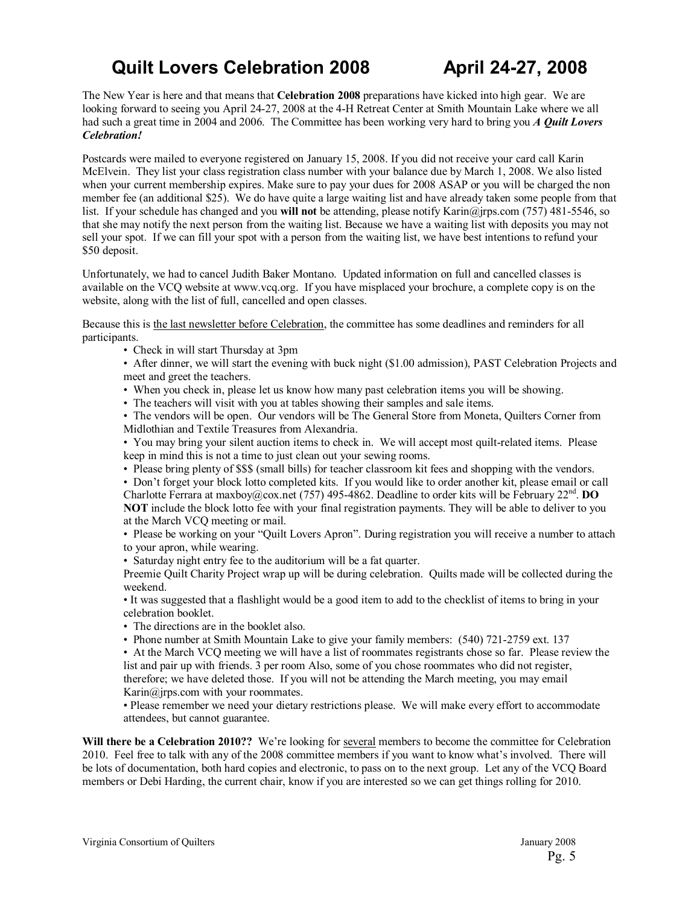### **Quilt Lovers Celebration 2008 April 24-27, 2008**

The New Year is here and that means that **Celebration 2008** preparations have kicked into high gear. We are looking forward to seeing you April 24-27, 2008 at the 4-H Retreat Center at Smith Mountain Lake where we all had such a great time in 2004 and 2006. The Committee has been working very hard to bring you *A Quilt Lovers Celebration!* 

Postcards were mailed to everyone registered on January 15, 2008. If you did not receive your card call Karin McElvein. They list your class registration class number with your balance due by March 1, 2008. We also listed when your current membership expires. Make sure to pay your dues for 2008 ASAP or you will be charged the non member fee (an additional \$25). We do have quite a large waiting list and have already taken some people from that list. If your schedule has changed and you **will not** be attending, please notify Karin@jrps.com (757) 481-5546, so that she may notify the next person from the waiting list. Because we have a waiting list with deposits you may not sell your spot. If we can fill your spot with a person from the waiting list, we have best intentions to refund your \$50 deposit.

Unfortunately, we had to cancel Judith Baker Montano. Updated information on full and cancelled classes is available on the VCQ website at www.vcq.org. If you have misplaced your brochure, a complete copy is on the website, along with the list of full, cancelled and open classes.

Because this is the last newsletter before Celebration, the committee has some deadlines and reminders for all participants.

• Check in will start Thursday at 3pm

• After dinner, we will start the evening with buck night (\$1.00 admission), PAST Celebration Projects and meet and greet the teachers.

- ï When you check in, please let us know how many past celebration items you will be showing.
- The teachers will visit with you at tables showing their samples and sale items.

• The vendors will be open. Our vendors will be The General Store from Moneta, Quilters Corner from Midlothian and Textile Treasures from Alexandria.

ï You may bring your silent auction items to check in. We will accept most quilt-related items. Please keep in mind this is not a time to just clean out your sewing rooms.

• Please bring plenty of \$\$\$ (small bills) for teacher classroom kit fees and shopping with the vendors.

• Don't forget your block lotto completed kits. If you would like to order another kit, please email or call Charlotte Ferrara at maxboy@cox.net (757) 495-4862. Deadline to order kits will be February 22nd. **DO NOT** include the block lotto fee with your final registration payments. They will be able to deliver to you at the March VCQ meeting or mail.

• Please be working on your "Quilt Lovers Apron". During registration you will receive a number to attach to your apron, while wearing.

• Saturday night entry fee to the auditorium will be a fat quarter.

Preemie Quilt Charity Project wrap up will be during celebration. Quilts made will be collected during the weekend.

ï It was suggested that a flashlight would be a good item to add to the checklist of items to bring in your celebration booklet.

• The directions are in the booklet also.

• Phone number at Smith Mountain Lake to give your family members: (540) 721-2759 ext. 137

ï At the March VCQ meeting we will have a list of roommates registrants chose so far. Please review the list and pair up with friends. 3 per room Also, some of you chose roommates who did not register, therefore; we have deleted those. If you will not be attending the March meeting, you may email Karin@jrps.com with your roommates.

ï Please remember we need your dietary restrictions please. We will make every effort to accommodate attendees, but cannot guarantee.

Will there be a Celebration 2010?? We're looking for several members to become the committee for Celebration 2010. Feel free to talk with any of the 2008 committee members if you want to know what's involved. There will be lots of documentation, both hard copies and electronic, to pass on to the next group. Let any of the VCQ Board members or Debi Harding, the current chair, know if you are interested so we can get things rolling for 2010.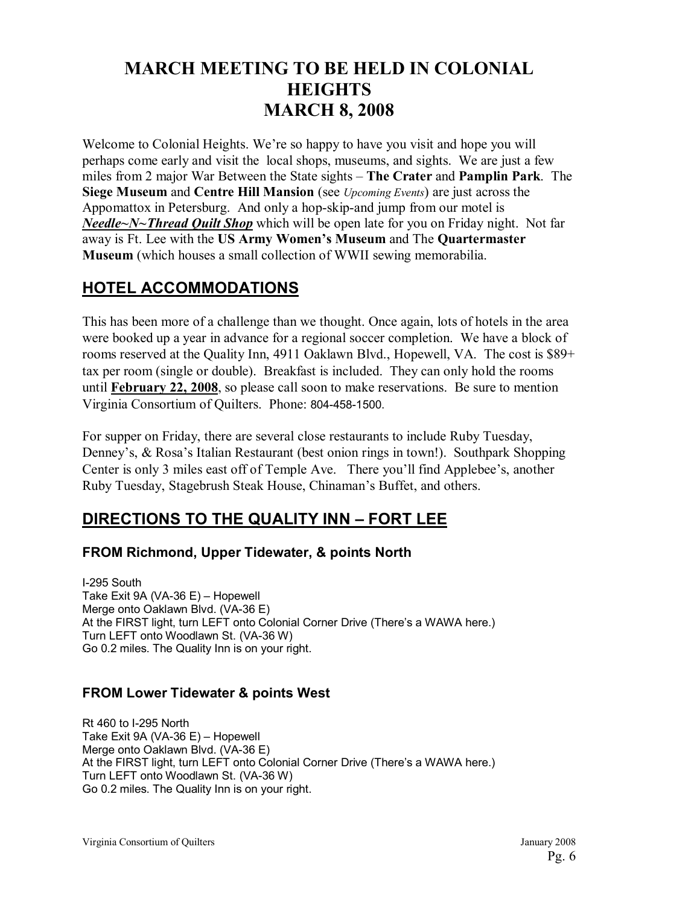### **MARCH MEETING TO BE HELD IN COLONIAL HEIGHTS MARCH 8, 2008**

Welcome to Colonial Heights. We're so happy to have you visit and hope you will perhaps come early and visit the local shops, museums, and sights. We are just a few miles from 2 major War Between the State sights – **The Crater** and **Pamplin Park**. The **Siege Museum** and **Centre Hill Mansion** (see *Upcoming Events*) are just across the Appomattox in Petersburg. And only a hop-skip-and jump from our motel is *Needle~N~Thread Quilt Shop* which will be open late for you on Friday night. Not far away is Ft. Lee with the US Army Women's Museum and The Quartermaster **Museum** (which houses a small collection of WWII sewing memorabilia.

#### **HOTEL ACCOMMODATIONS**

This has been more of a challenge than we thought. Once again, lots of hotels in the area were booked up a year in advance for a regional soccer completion. We have a block of rooms reserved at the Quality Inn, 4911 Oaklawn Blvd., Hopewell, VA. The cost is \$89+ tax per room (single or double). Breakfast is included. They can only hold the rooms until **February 22, 2008**, so please call soon to make reservations. Be sure to mention Virginia Consortium of Quilters. Phone: 804-458-1500.

For supper on Friday, there are several close restaurants to include Ruby Tuesday, Denney's, & Rosa's Italian Restaurant (best onion rings in town!). Southpark Shopping Center is only 3 miles east off of Temple Ave. There you'll find Applebee's, another Ruby Tuesday, Stagebrush Steak House, Chinaman's Buffet, and others.

#### **DIRECTIONS TO THE QUALITY INN - FORT LEE**

#### **FROM Richmond, Upper Tidewater, & points North**

I-295 South Take Exit 9A (VA-36 E)  $-$  Hopewell Merge onto Oaklawn Blvd. (VA-36 E) At the FIRST light, turn LEFT onto Colonial Corner Drive (There's a WAWA here.) Turn LEFT onto Woodlawn St. (VA-36 W) Go 0.2 miles. The Quality Inn is on your right.

#### **FROM Lower Tidewater & points West**

Rt 460 to I-295 North Take Exit 9A (VA-36 E) - Hopewell Merge onto Oaklawn Blvd. (VA-36 E) At the FIRST light, turn LEFT onto Colonial Corner Drive (There's a WAWA here.) Turn LEFT onto Woodlawn St. (VA-36 W) Go 0.2 miles. The Quality Inn is on your right.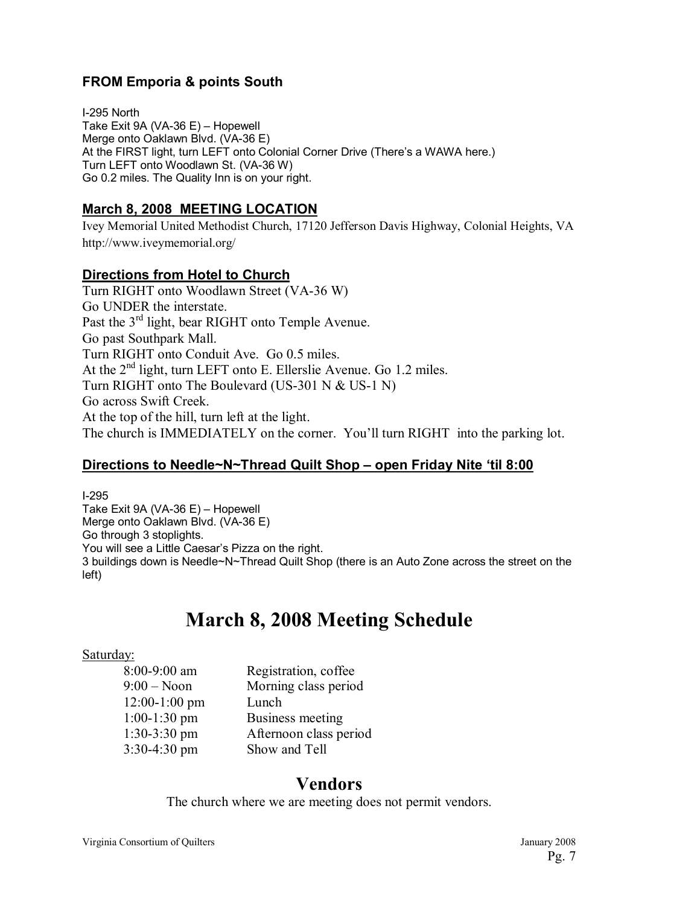#### **FROM Emporia & points South**

I-295 North Take Exit 9A (VA-36 E)  $-$  Hopewell Merge onto Oaklawn Blvd. (VA-36 E) At the FIRST light, turn LEFT onto Colonial Corner Drive (Thereís a WAWA here.) Turn LEFT onto Woodlawn St. (VA-36 W) Go 0.2 miles. The Quality Inn is on your right.

#### **March 8, 2008 MEETING LOCATION**

Ivey Memorial United Methodist Church, 17120 Jefferson Davis Highway, Colonial Heights, VA http://www.iveymemorial.org/

#### **Directions from Hotel to Church**

Turn RIGHT onto Woodlawn Street (VA-36 W) Go UNDER the interstate. Past the 3<sup>rd</sup> light, bear RIGHT onto Temple Avenue. Go past Southpark Mall. Turn RIGHT onto Conduit Ave. Go 0.5 miles. At the  $2<sup>nd</sup>$  light, turn LEFT onto E. Ellerslie Avenue. Go 1.2 miles. Turn RIGHT onto The Boulevard (US-301 N & US-1 N) Go across Swift Creek. At the top of the hill, turn left at the light. The church is IMMEDIATELY on the corner. You'll turn RIGHT into the parking lot.

#### **Directions to Needle~N~Thread Quilt Shop – open Friday Nite 'til 8:00**

I-295 Take Exit 9A (VA-36 E)  $-$  Hopewell Merge onto Oaklawn Blvd. (VA-36 E) Go through 3 stoplights. You will see a Little Caesar's Pizza on the right. 3 buildings down is Needle~N~Thread Quilt Shop (there is an Auto Zone across the street on the left)

# **March 8, 2008 Meeting Schedule**

#### Saturday:

| 8:00-9:00 am    | Registration, coffee   |
|-----------------|------------------------|
| $9:00 - N$ oon  | Morning class period   |
| $12:00-1:00$ pm | Lunch                  |
| $1:00-1:30$ pm  | Business meeting       |
| $1:30-3:30$ pm  | Afternoon class period |
| 3:30-4:30 pm    | Show and Tell          |

#### **Vendors**

The church where we are meeting does not permit vendors.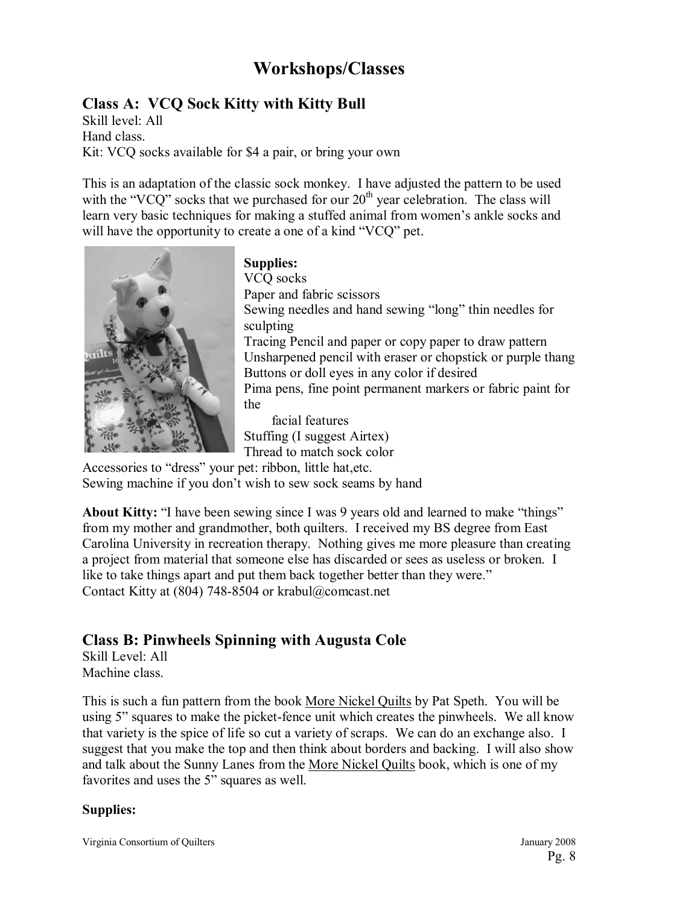## **Workshops/Classes**

#### **Class A: VCQ Sock Kitty with Kitty Bull**

Skill level: All Hand class. Kit: VCQ socks available for \$4 a pair, or bring your own

This is an adaptation of the classic sock monkey. I have adjusted the pattern to be used with the "VCQ" socks that we purchased for our  $20<sup>th</sup>$  year celebration. The class will learn very basic techniques for making a stuffed animal from women's ankle socks and will have the opportunity to create a one of a kind "VCQ" pet.



**Supplies:** 

VCQ socks Paper and fabric scissors Sewing needles and hand sewing "long" thin needles for sculpting Tracing Pencil and paper or copy paper to draw pattern Unsharpened pencil with eraser or chopstick or purple thang Buttons or doll eyes in any color if desired Pima pens, fine point permanent markers or fabric paint for the facial features

Stuffing (I suggest Airtex) Thread to match sock color

Accessories to "dress" your pet: ribbon, little hat,etc. Sewing machine if you don't wish to sew sock seams by hand

**About Kitty:** "I have been sewing since I was 9 years old and learned to make "things" from my mother and grandmother, both quilters. I received my BS degree from East Carolina University in recreation therapy. Nothing gives me more pleasure than creating a project from material that someone else has discarded or sees as useless or broken. I like to take things apart and put them back together better than they were." Contact Kitty at (804) 748-8504 or krabul@comcast.net

#### **Class B: Pinwheels Spinning with Augusta Cole**

Skill Level: All Machine class.

This is such a fun pattern from the book More Nickel Quilts by Pat Speth. You will be using 5" squares to make the picket-fence unit which creates the pinwheels. We all know that variety is the spice of life so cut a variety of scraps. We can do an exchange also. I suggest that you make the top and then think about borders and backing. I will also show and talk about the Sunny Lanes from the More Nickel Quilts book, which is one of my favorites and uses the 5" squares as well.

#### **Supplies:**

Virginia Consortium of Quilters January 2008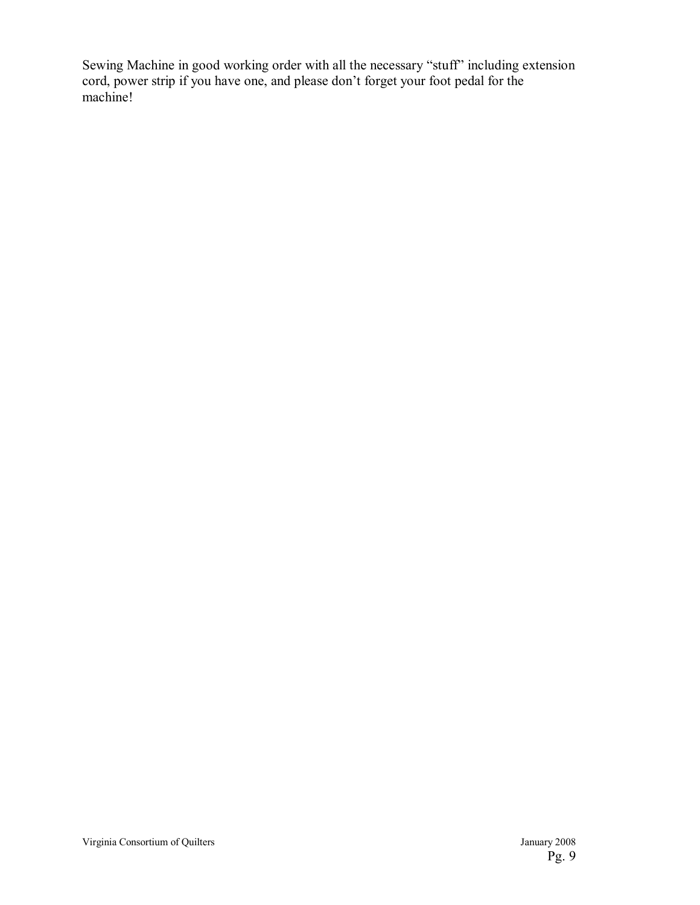Sewing Machine in good working order with all the necessary "stuff" including extension cord, power strip if you have one, and please don't forget your foot pedal for the machine!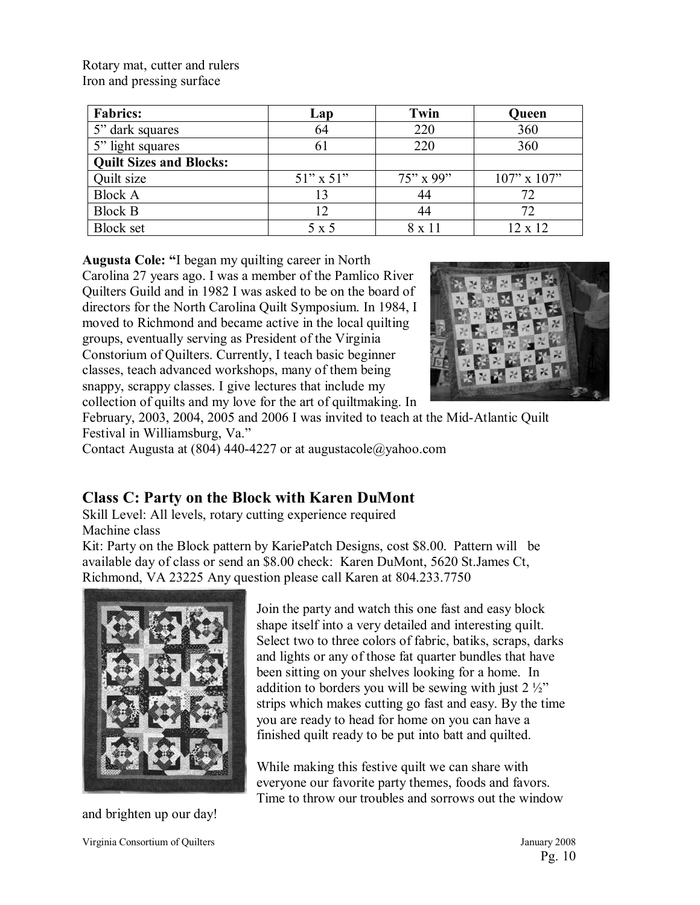Rotary mat, cutter and rulers Iron and pressing surface

| <b>Fabrics:</b>                | Lap            | Twin         | Queen             |
|--------------------------------|----------------|--------------|-------------------|
| 5" dark squares                | 64             | 220          | 360               |
| 5" light squares               | $\mathfrak{b}$ | 220          | 360               |
| <b>Quilt Sizes and Blocks:</b> |                |              |                   |
| Quilt size                     | $51"$ x $51"$  | $75''$ x 99" | $107$ " x $107$ " |
| <b>Block A</b>                 | 13             | 44           | 72                |
| <b>Block B</b>                 | 12             | 44           | 72                |
| <b>Block set</b>               | 5 x 5          | 8 x 11       | 12 x 12           |

Augusta Cole: "I began my quilting career in North

Carolina 27 years ago. I was a member of the Pamlico River Quilters Guild and in 1982 I was asked to be on the board of directors for the North Carolina Quilt Symposium. In 1984, I moved to Richmond and became active in the local quilting groups, eventually serving as President of the Virginia Constorium of Quilters. Currently, I teach basic beginner classes, teach advanced workshops, many of them being snappy, scrappy classes. I give lectures that include my collection of quilts and my love for the art of quiltmaking. In



February, 2003, 2004, 2005 and 2006 I was invited to teach at the Mid-Atlantic Quilt Festival in Williamsburg, Va."

Contact Augusta at (804) 440-4227 or at augustacole@yahoo.com

#### **Class C: Party on the Block with Karen DuMont**

Skill Level: All levels, rotary cutting experience required Machine class

Kit: Party on the Block pattern by KariePatch Designs, cost \$8.00. Pattern will be available day of class or send an \$8.00 check: Karen DuMont, 5620 St.James Ct, Richmond, VA 23225 Any question please call Karen at 804.233.7750



and brighten up our day!

Join the party and watch this one fast and easy block shape itself into a very detailed and interesting quilt. Select two to three colors of fabric, batiks, scraps, darks and lights or any of those fat quarter bundles that have been sitting on your shelves looking for a home. In addition to borders you will be sewing with just  $2\frac{1}{2}$ strips which makes cutting go fast and easy. By the time you are ready to head for home on you can have a finished quilt ready to be put into batt and quilted.

While making this festive quilt we can share with everyone our favorite party themes, foods and favors. Time to throw our troubles and sorrows out the window

Virginia Consortium of Quilters January 2008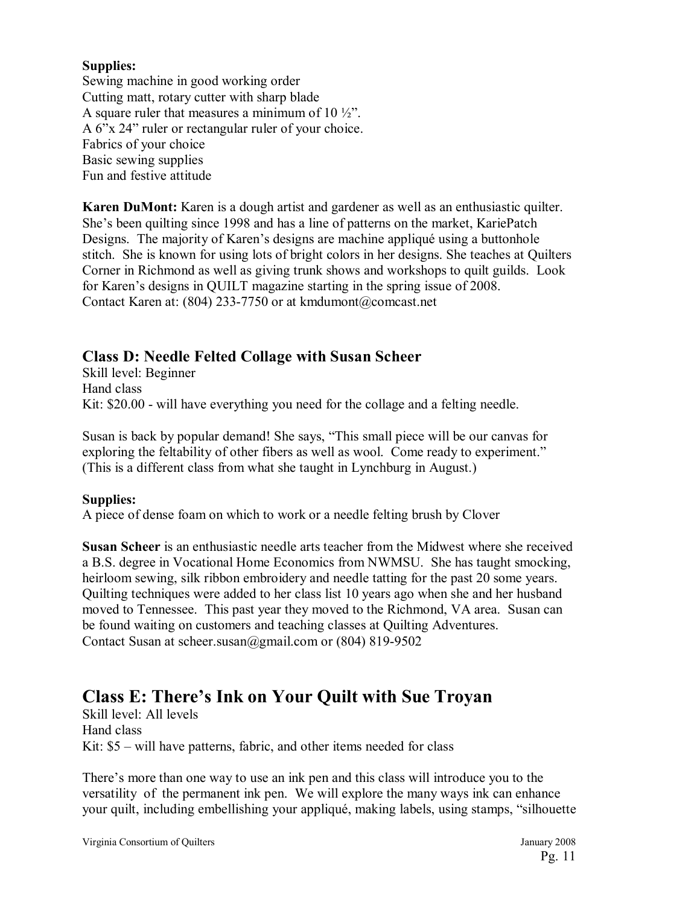#### **Supplies:**

Sewing machine in good working order Cutting matt, rotary cutter with sharp blade A square ruler that measures a minimum of 10  $\frac{1}{2}$ . A 6"x 24" ruler or rectangular ruler of your choice. Fabrics of your choice Basic sewing supplies Fun and festive attitude

**Karen DuMont:** Karen is a dough artist and gardener as well as an enthusiastic quilter. She's been quilting since 1998 and has a line of patterns on the market, KariePatch Designs. The majority of Karen's designs are machine appliqué using a buttonhole stitch. She is known for using lots of bright colors in her designs. She teaches at Quilters Corner in Richmond as well as giving trunk shows and workshops to quilt guilds. Look for Karen's designs in QUILT magazine starting in the spring issue of 2008. Contact Karen at: (804) 233-7750 or at kmdumont@comcast.net

#### **Class D: Needle Felted Collage with Susan Scheer**

Skill level: Beginner Hand class Kit: \$20.00 - will have everything you need for the collage and a felting needle.

Susan is back by popular demand! She says, "This small piece will be our canvas for exploring the feltability of other fibers as well as wool. Come ready to experiment." (This is a different class from what she taught in Lynchburg in August.)

#### **Supplies:**

A piece of dense foam on which to work or a needle felting brush by Clover

**Susan Scheer** is an enthusiastic needle arts teacher from the Midwest where she received a B.S. degree in Vocational Home Economics from NWMSU. She has taught smocking, heirloom sewing, silk ribbon embroidery and needle tatting for the past 20 some years. Quilting techniques were added to her class list 10 years ago when she and her husband moved to Tennessee. This past year they moved to the Richmond, VA area. Susan can be found waiting on customers and teaching classes at Quilting Adventures. Contact Susan at scheer.susan@gmail.com or (804) 819-9502

#### **Class E: There's Ink on Your Quilt with Sue Troyan**

Skill level: All levels Hand class Kit:  $$5 - will have patterns, fabric, and other items needed for class$ 

There's more than one way to use an ink pen and this class will introduce you to the versatility of the permanent ink pen. We will explore the many ways ink can enhance your quilt, including embellishing your appliqué, making labels, using stamps, "silhouette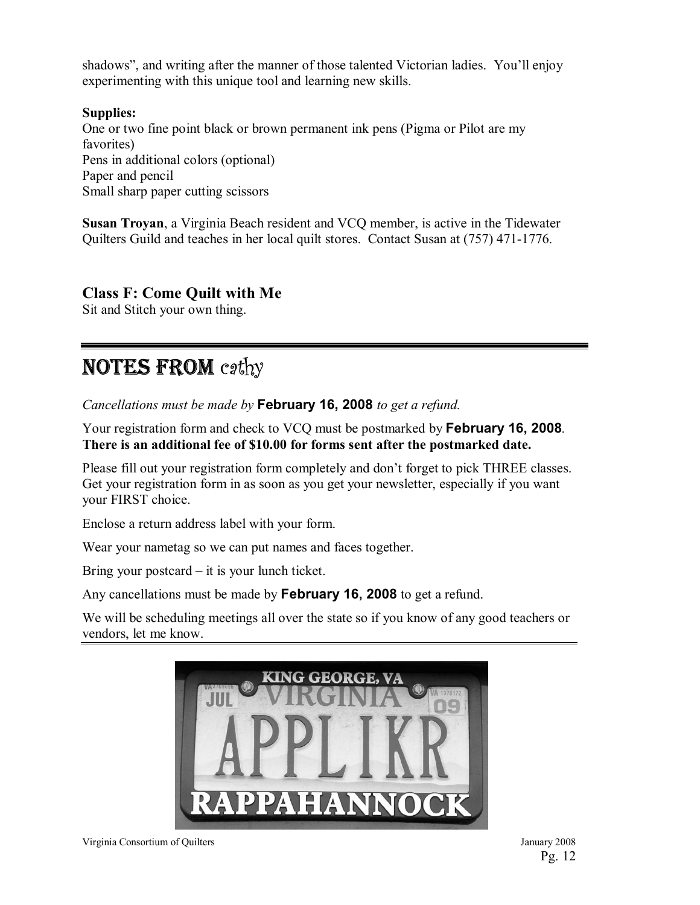shadows", and writing after the manner of those talented Victorian ladies. You'll enjoy experimenting with this unique tool and learning new skills.

**Supplies:**  One or two fine point black or brown permanent ink pens (Pigma or Pilot are my favorites) Pens in additional colors (optional) Paper and pencil Small sharp paper cutting scissors

**Susan Troyan**, a Virginia Beach resident and VCQ member, is active in the Tidewater Quilters Guild and teaches in her local quilt stores. Contact Susan at (757) 471-1776.

#### **Class F: Come Quilt with Me**

Sit and Stitch your own thing.

# NOTES FROM cathy

*Cancellations must be made by* **February 16, 2008** *to get a refund.* 

Your registration form and check to VCQ must be postmarked by **February 16, 2008***.*  **There is an additional fee of \$10.00 for forms sent after the postmarked date.** 

Please fill out your registration form completely and don't forget to pick THREE classes. Get your registration form in as soon as you get your newsletter, especially if you want your FIRST choice.

Enclose a return address label with your form.

Wear your nametag so we can put names and faces together.

Bring your postcard  $-$  it is your lunch ticket.

Any cancellations must be made by **February 16, 2008** to get a refund.

We will be scheduling meetings all over the state so if you know of any good teachers or vendors, let me know.



Virginia Consortium of Quilters January 2008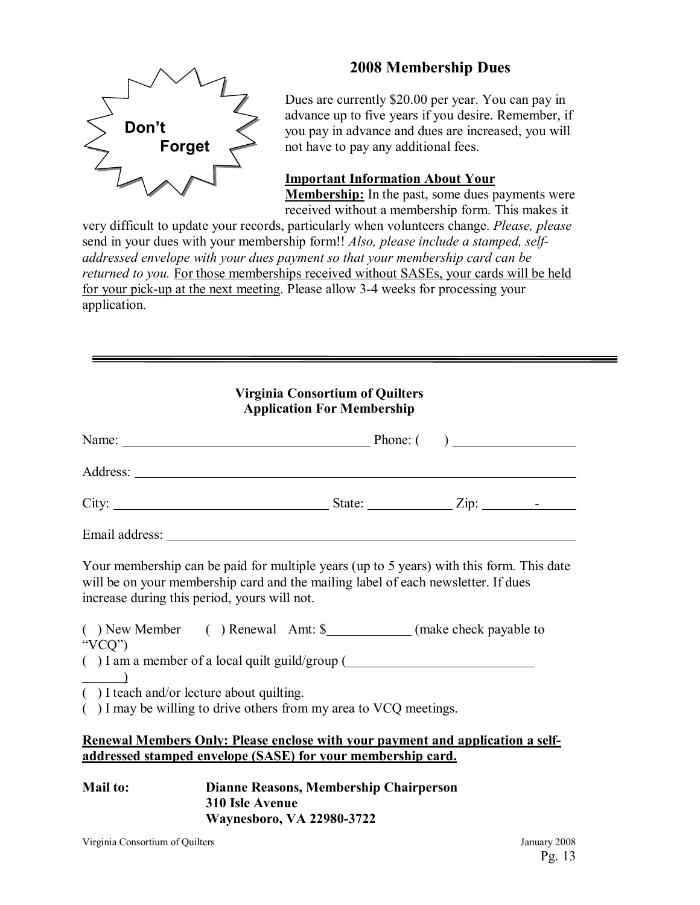

#### **2008 Membership Dues**

Dues are currently \$20.00 per year. You can pay in advance up to five years if you desire. Remember, if you pay in advance and dues are increased, you will not have to pay any additional fees.

#### **Important Information About Your**

**Membership:** In the past, some dues payments were received without a membership form. This makes it

very difficult to update your records, particularly when volunteers change. *Please, please*  send in your dues with your membership form!! *Also, please include a stamped, selfaddressed envelope with your dues payment so that your membership card can be returned to you.* For those memberships received without SASEs, your cards will be held for your pick-up at the next meeting. Please allow 3-4 weeks for processing your application.

| <b>Virginia Consortium of Quilters</b><br><b>Application For Membership</b>                                                                          |                                                                                                                                                                               |  |  |  |
|------------------------------------------------------------------------------------------------------------------------------------------------------|-------------------------------------------------------------------------------------------------------------------------------------------------------------------------------|--|--|--|
|                                                                                                                                                      | Name: <u>Name:</u> Phone: ( )                                                                                                                                                 |  |  |  |
|                                                                                                                                                      |                                                                                                                                                                               |  |  |  |
|                                                                                                                                                      | City: $\frac{\text{City:}}{\text{List:}}$                                                                                                                                     |  |  |  |
|                                                                                                                                                      |                                                                                                                                                                               |  |  |  |
| increase during this period, yours will not.                                                                                                         | Your membership can be paid for multiple years (up to 5 years) with this form. This date<br>will be on your membership card and the mailing label of each newsletter. If dues |  |  |  |
| " $VCQ"$                                                                                                                                             | () New Member () Renewal Amt: \$____________(make check payable to                                                                                                            |  |  |  |
| $\underline{\hspace{1cm}}$ )                                                                                                                         | $( )$ I am a member of a local quilt guild/group $($                                                                                                                          |  |  |  |
| $( )$ I teach and/or lecture about quilting.                                                                                                         | $($ ) I may be willing to drive others from my area to VCQ meetings.                                                                                                          |  |  |  |
| <b>Renewal Members Only: Please enclose with your payment and application a self-</b><br>addressed stamped envelope (SASE) for your membership card. |                                                                                                                                                                               |  |  |  |
| <b>Mail to:</b>                                                                                                                                      | Dianne Reasons, Membership Chairperson<br>310 Isle Avenue<br><b>ETI AAOOO AFAA</b>                                                                                            |  |  |  |